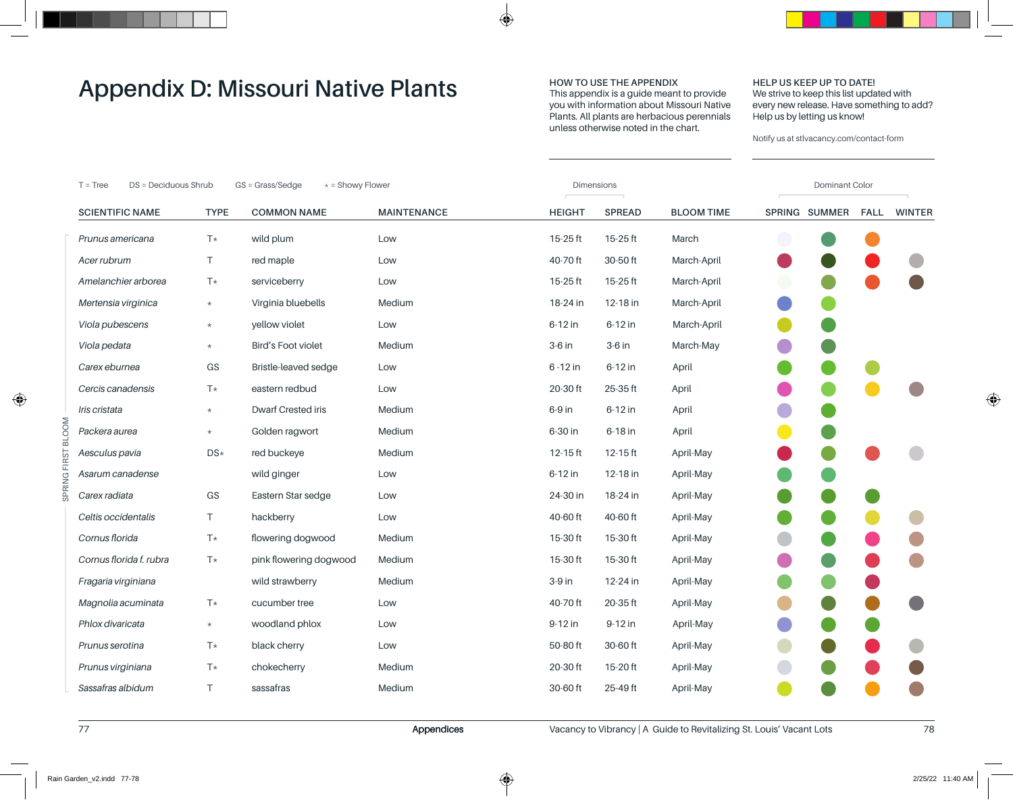## **HOW TO USE THE APPENDIX**

This appendix is a guide meant to provide you with information about Missouri Native Plants. All plants are herbacious perennials unless otherwise noted in the chart.

#### **HELP US KEEP UP TO DATE!** We strive to keep this list updated with every new release. Have something to add? Help us by letting us know!

| GS = Grass/Sedge<br>* = Showy Flower<br>DS = Deciduous Shrub<br>$T = Tree$ |             |                           |                    | <b>Dimensions</b> |               |                   |  | Dominant Color |             |               |  |  |
|----------------------------------------------------------------------------|-------------|---------------------------|--------------------|-------------------|---------------|-------------------|--|----------------|-------------|---------------|--|--|
| <b>SCIENTIFIC NAME</b>                                                     | <b>TYPE</b> | <b>COMMON NAME</b>        | <b>MAINTENANCE</b> | <b>HEIGHT</b>     | <b>SPREAD</b> | <b>BLOOM TIME</b> |  | SPRING SUMMER  | <b>FALL</b> | <b>WINTER</b> |  |  |
| Prunus americana                                                           | $T*$        | wild plum                 | Low                | $15-25$ ft        | $15-25$ ft    | March             |  |                |             |               |  |  |
| Acer rubrum                                                                | T.          | red maple                 | Low                | 40-70 ft          | 30-50 ft      | March-April       |  |                |             |               |  |  |
| Amelanchier arborea                                                        | $T*$        | serviceberry              | Low                | 15-25 ft          | $15-25$ ft    | March-April       |  |                |             |               |  |  |
| Mertensia virginica                                                        | $\star$     | Virginia bluebells        | Medium             | 18-24 in          | 12-18 in      | March-April       |  |                |             |               |  |  |
| Viola pubescens                                                            | $\star$     | yellow violet             | Low                | 6-12 in           | 6-12 in       | March-April       |  |                |             |               |  |  |
| Viola pedata                                                               | $\star$     | <b>Bird's Foot violet</b> | Medium             | $3-6$ in          | 3-6 in        | March-May         |  |                |             |               |  |  |
| Carex eburnea                                                              | GS          | Bristle-leaved sedge      | Low                | 6 - 12 in         | 6-12 in       | April             |  |                |             |               |  |  |
| Cercis canadensis                                                          | $T*$        | eastern redbud            | Low                | 20-30 ft          | 25-35 ft      | April             |  |                |             |               |  |  |
| Iris cristata                                                              | $\star$     | Dwarf Crested iris        | Medium             | 6-9 in            | 6-12 in       | April             |  |                |             |               |  |  |
| Packera aurea                                                              | $\star$     | Golden ragwort            | Medium             | 6-30 in           | 6-18 in       | April             |  |                |             |               |  |  |
| Aesculus pavia                                                             | DS*         | red buckeye               | Medium             | $12-15$ ft        | $12-15$ ft    | April-May         |  |                |             |               |  |  |
| Asarum canadense                                                           |             | wild ginger               | Low                | 6-12 in           | 12-18 in      | April-May         |  |                |             |               |  |  |
| Carex radiata                                                              | GS          | Eastern Star sedge        | Low                | 24-30 in          | 18-24 in      | April-May         |  |                |             |               |  |  |
| Celtis occidentalis                                                        | T           | hackberry                 | Low                | 40-60 ft          | 40-60 ft      | April-May         |  |                |             |               |  |  |
| Cornus florida                                                             | $T*$        | flowering dogwood         | Medium             | 15-30 ft          | 15-30 ft      | April-May         |  |                |             |               |  |  |
| Cornus florida f. rubra                                                    | $T*$        | pink flowering dogwood    | Medium             | 15-30 ft          | 15-30 ft      | April-May         |  |                |             |               |  |  |
| Fragaria virginiana                                                        |             | wild strawberry           | Medium             | 3-9 in            | 12-24 in      | April-May         |  |                |             |               |  |  |
| Magnolia acuminata                                                         | $T*$        | cucumber tree             | Low                | 40-70 ft          | 20-35 ft      | April-May         |  |                |             |               |  |  |
| Phlox divaricata                                                           | $\star$     | woodland phlox            | Low                | 9-12 in           | 9-12 in       | April-May         |  |                |             |               |  |  |
| Prunus serotina                                                            | $T*$        | black cherry              | Low                | 50-80 ft          | 30-60 ft      | April-May         |  |                |             |               |  |  |
| Prunus virginiana                                                          | T*          | chokecherry               | Medium             | 20-30 ft          | 15-20 ft      | April-May         |  |                |             |               |  |  |
| Sassafras albidum                                                          | Τ           | sassafras                 | Medium             | 30-60 ft          | 25-49 ft      | April-May         |  |                |             |               |  |  |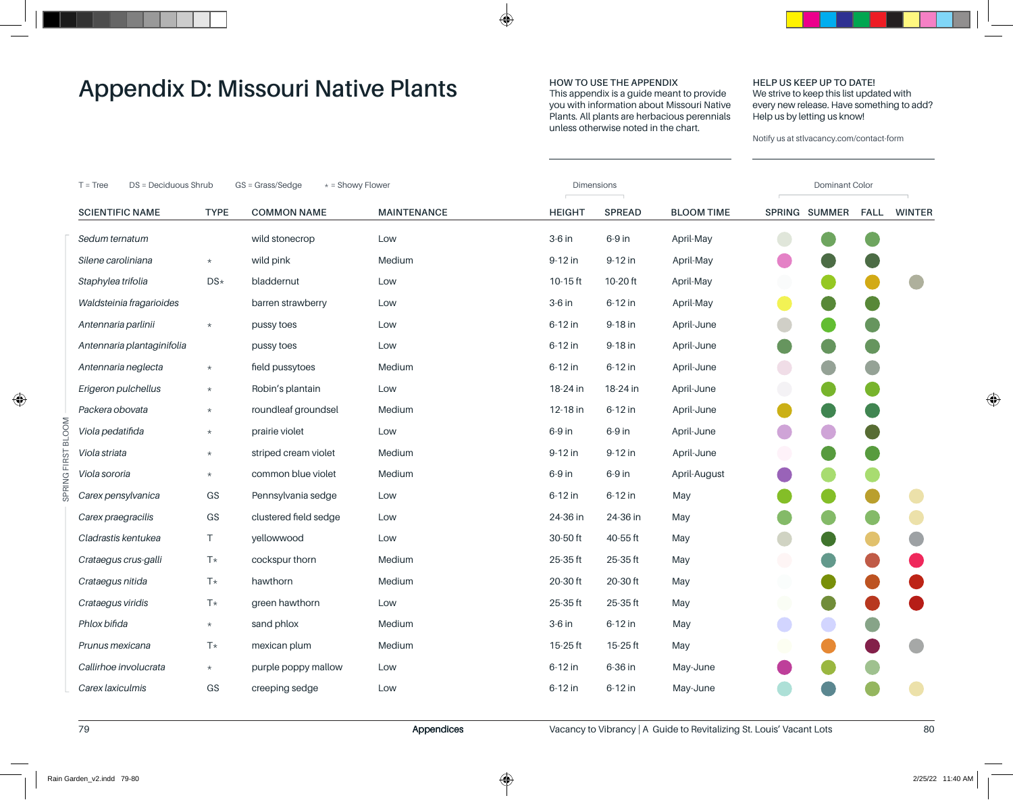## **HOW TO USE THE APPENDIX**

This appendix is a guide meant to provide you with information about Missouri Native Plants. All plants are herbacious perennials unless otherwise noted in the chart.

#### **HELP US KEEP UP TO DATE!** We strive to keep this list updated with every new release. Have something to add? Help us by letting us know!

Notify us at stlvacancy.com/contact-form

| * = Showy Flower<br>DS = Deciduous Shrub<br>GS = Grass/Sedge<br>$T = Tree$ |             |                       |                    | Dimensions    |               |                   |            | Dominant Color |             |               |  |  |
|----------------------------------------------------------------------------|-------------|-----------------------|--------------------|---------------|---------------|-------------------|------------|----------------|-------------|---------------|--|--|
| <b>SCIENTIFIC NAME</b>                                                     | <b>TYPE</b> | <b>COMMON NAME</b>    | <b>MAINTENANCE</b> | <b>HEIGHT</b> | <b>SPREAD</b> | <b>BLOOM TIME</b> |            | SPRING SUMMER  | <b>FALL</b> | <b>WINTER</b> |  |  |
| Sedum ternatum                                                             |             | wild stonecrop        | Low                | $3-6$ in      | 6-9 in        | April-May         |            |                |             |               |  |  |
| Silene caroliniana                                                         | $\star$     | wild pink             | Medium             | 9-12 in       | 9-12 in       | April-May         |            |                |             |               |  |  |
| Staphylea trifolia                                                         | DS*         | bladdernut            | Low                | $10-15$ ft    | 10-20 ft      | April-May         |            |                |             |               |  |  |
| Waldsteinia fragarioides                                                   |             | barren strawberry     | Low                | 3-6 in        | 6-12 in       | April-May         |            |                |             |               |  |  |
| Antennaria parlinii                                                        | $\star$     | pussy toes            | Low                | 6-12 in       | 9-18 in       | April-June        |            |                |             |               |  |  |
| Antennaria plantaginifolia                                                 |             | pussy toes            | Low                | 6-12 in       | 9-18 in       | April-June        |            |                |             |               |  |  |
| Antennaria neglecta                                                        | $\star$     | field pussytoes       | Medium             | 6-12 in       | 6-12 in       | April-June        | $\bigodot$ |                |             |               |  |  |
| Erigeron pulchellus                                                        | $\star$     | Robin's plantain      | Low                | 18-24 in      | 18-24 in      | April-June        | $\bigodot$ |                |             |               |  |  |
| Packera obovata                                                            | $\star$     | roundleaf groundsel   | Medium             | 12-18 in      | 6-12 in       | April-June        |            |                |             |               |  |  |
| Viola pedatifida                                                           | $\star$     | prairie violet        | Low                | 6-9 in        | 6-9 in        | April-June        |            |                |             |               |  |  |
| Viola striata                                                              | $\star$     | striped cream violet  | Medium             | 9-12 in       | 9-12 in       | April-June        |            |                |             |               |  |  |
| Viola sororia                                                              | $\star$     | common blue violet    | Medium             | 6-9 in        | 6-9 in        | April-August      |            |                |             |               |  |  |
| Carex pensylvanica                                                         | GS          | Pennsylvania sedge    | Low                | 6-12 in       | 6-12 in       | May               |            |                |             |               |  |  |
| Carex praegracilis                                                         | GS          | clustered field sedge | Low                | 24-36 in      | 24-36 in      | May               |            |                |             |               |  |  |
| Cladrastis kentukea                                                        | T.          | yellowwood            | Low                | 30-50 ft      | 40-55 ft      | May               |            |                |             |               |  |  |
| Crataegus crus-galli                                                       | $T*$        | cockspur thorn        | Medium             | 25-35 ft      | 25-35 ft      | May               | $\bigodot$ |                |             |               |  |  |
| Crataegus nitida                                                           | T*          | hawthorn              | Medium             | 20-30 ft      | 20-30 ft      | May               |            |                |             |               |  |  |
| Crataegus viridis                                                          | T*          | green hawthorn        | Low                | 25-35 ft      | 25-35 ft      | May               |            |                |             |               |  |  |
| Phlox bifida                                                               | $\star$     | sand phlox            | Medium             | $3-6$ in      | 6-12 in       | May               |            |                |             |               |  |  |
| Prunus mexicana                                                            | T*          | mexican plum          | Medium             | 15-25 ft      | $15-25$ ft    | May               |            |                |             |               |  |  |
| Callirhoe involucrata                                                      | $\star$     | purple poppy mallow   | Low                | 6-12 in       | 6-36 in       | May-June          |            |                |             |               |  |  |
| Carex laxiculmis                                                           | GS          | creeping sedge        | Low                | 6-12 in       | 6-12 in       | May-June          |            |                |             |               |  |  |

SPRING FIRST BLOOM

SPRING FIRST BLOOM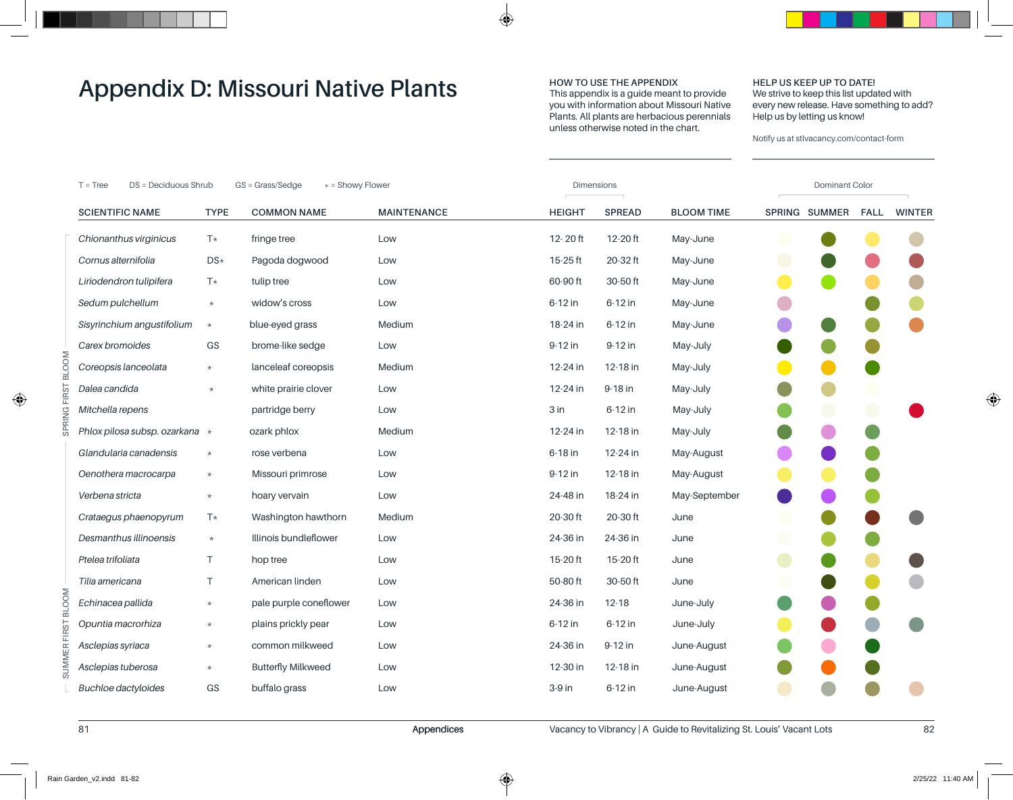## **HOW TO USE THE APPENDIX**

This appendix is a guide meant to provide you with information about Missouri Native Plants. All plants are herbacious perennials unless otherwise noted in the chart.

#### **HELP US KEEP UP TO DATE!** We strive to keep this list updated with every new release. Have something to add? Help us by letting us know!

|              | * = Showy Flower<br>$T = Tree$<br>DS = Deciduous Shrub<br>GS = Grass/Sedge |             |                           | <b>Dimensions</b>  |               |               |                   | Dominant Color |               |  |             |  |  |
|--------------|----------------------------------------------------------------------------|-------------|---------------------------|--------------------|---------------|---------------|-------------------|----------------|---------------|--|-------------|--|--|
|              | <b>SCIENTIFIC NAME</b>                                                     | <b>TYPE</b> | <b>COMMON NAME</b>        | <b>MAINTENANCE</b> | <b>HEIGHT</b> | <b>SPREAD</b> | <b>BLOOM TIME</b> |                | SPRING SUMMER |  | FALL WINTER |  |  |
|              | Chionanthus virginicus                                                     | $T*$        | fringe tree               | Low                | $12 - 20$ ft  | $12-20$ ft    | May-June          |                |               |  |             |  |  |
|              | Cornus alternifolia                                                        | DS*         | Pagoda dogwood            | Low                | 15-25 ft      | 20-32 ft      | May-June          |                |               |  |             |  |  |
|              | Liriodendron tulipifera                                                    | T*          | tulip tree                | Low                | 60-90 ft      | 30-50 ft      | May-June          |                |               |  |             |  |  |
|              | Sedum pulchellum                                                           | $\star$     | widow's cross             | Low                | 6-12 in       | 6-12 in       | May-June          |                |               |  |             |  |  |
|              | Sisyrinchium angustifolium                                                 | $\star$     | blue-eyed grass           | Medium             | 18-24 in      | 6-12 in       | May-June          |                |               |  |             |  |  |
|              | Carex bromoides                                                            | ${\sf GS}$  | brome-like sedge          | Low                | 9-12 in       | 9-12 in       | May-July          |                |               |  |             |  |  |
| <b>BLOOM</b> | Coreopsis lanceolata                                                       | $\star$     | lanceleaf coreopsis       | Medium             | 12-24 in      | 12-18 in      | May-July          |                |               |  |             |  |  |
|              | Dalea candida                                                              | $\star$     | white prairie clover      | Low                | 12-24 in      | 9-18 in       | May-July          |                |               |  |             |  |  |
|              | Mitchella repens                                                           |             | partridge berry           | Low                | 3 in          | 6-12 in       | May-July          |                |               |  |             |  |  |
|              | Phlox pilosa subsp. ozarkana *                                             |             | ozark phlox               | Medium             | 12-24 in      | 12-18 in      | May-July          |                |               |  |             |  |  |
|              | Glandularia canadensis                                                     | $\star$     | rose verbena              | Low                | 6-18 in       | 12-24 in      | May-August        |                |               |  |             |  |  |
|              | Oenothera macrocarpa                                                       | $\star$     | Missouri primrose         | Low                | 9-12 in       | 12-18 in      | May-August        |                |               |  |             |  |  |
|              | Verbena stricta                                                            | $\star$     | hoary vervain             | Low                | 24-48 in      | 18-24 in      | May-September     |                |               |  |             |  |  |
|              | Crataegus phaenopyrum                                                      | T*          | Washington hawthorn       | Medium             | 20-30 ft      | 20-30 ft      | June              |                |               |  |             |  |  |
|              | Desmanthus illinoensis                                                     | $\star$     | Illinois bundleflower     | Low                | 24-36 in      | 24-36 in      | June              |                |               |  |             |  |  |
|              | Ptelea trifoliata                                                          | T           | hop tree                  | Low                | 15-20 ft      | $15-20$ ft    | June              |                |               |  |             |  |  |
|              | Tilia americana                                                            | T.          | American linden           | Low                | 50-80 ft      | 30-50 ft      | June              |                |               |  |             |  |  |
| <b>BLOOM</b> | Echinacea pallida                                                          | $\star$     | pale purple coneflower    | Low                | 24-36 in      | $12 - 18$     | June-July         |                |               |  |             |  |  |
|              | Opuntia macrorhiza                                                         | $\star$     | plains prickly pear       | Low                | 6-12 in       | 6-12 in       | June-July         |                |               |  |             |  |  |
| R FIRST      | Asclepias syriaca                                                          | $\star$     | common milkweed           | Low                | 24-36 in      | 9-12 in       | June-August       |                |               |  |             |  |  |
| <b>SUMME</b> | Asclepias tuberosa                                                         | $\star$     | <b>Butterfly Milkweed</b> | Low                | 12-30 in      | 12-18 in      | June-August       |                |               |  |             |  |  |
|              | <b>Buchloe dactyloides</b>                                                 | GS          | buffalo grass             | Low                | 3-9 in        | 6-12 in       | June-August       |                |               |  |             |  |  |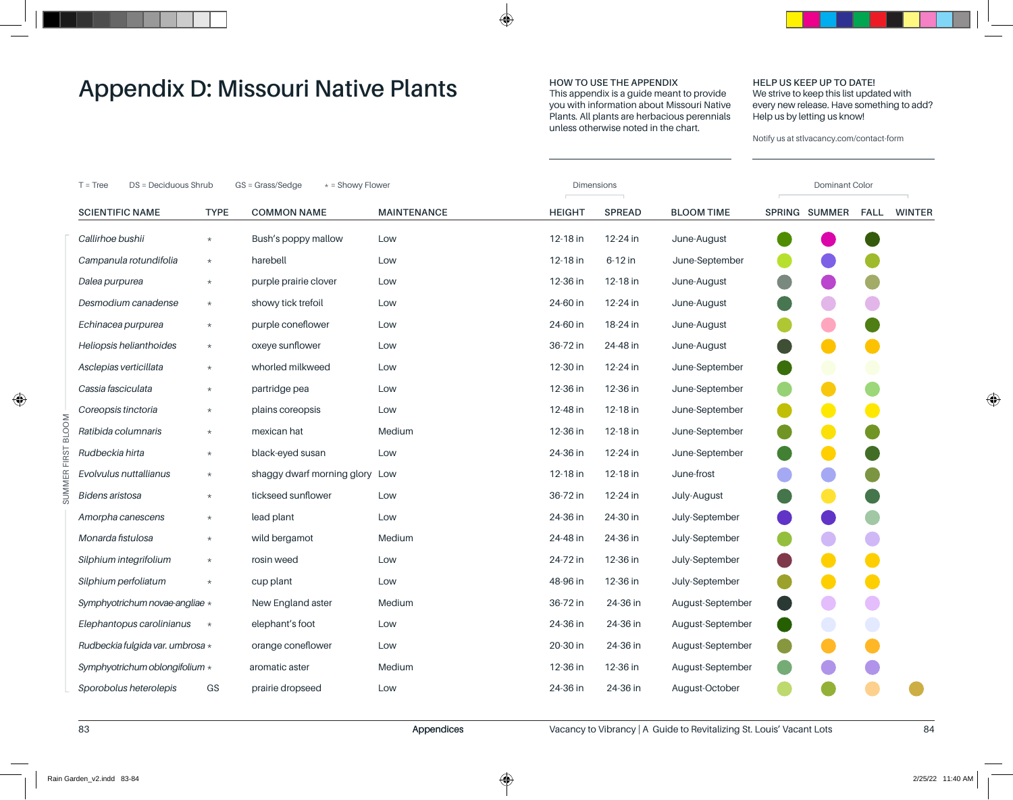## **HOW TO USE THE APPENDIX**

This appendix is a guide meant to provide you with information about Missouri Native Plants. All plants are herbacious perennials unless otherwise noted in the chart.

#### **HELP US KEEP UP TO DATE!** We strive to keep this list updated with every new release. Have something to add? Help us by letting us know!

| DS = Deciduous Shrub<br>GS = Grass/Sedge<br>* = Showy Flower<br>$T = Tree$ |             |                                |                    | <b>Dimensions</b> |               |                   |  | Dominant Color |             |               |  |  |
|----------------------------------------------------------------------------|-------------|--------------------------------|--------------------|-------------------|---------------|-------------------|--|----------------|-------------|---------------|--|--|
| <b>SCIENTIFIC NAME</b>                                                     | <b>TYPE</b> | <b>COMMON NAME</b>             | <b>MAINTENANCE</b> | <b>HEIGHT</b>     | <b>SPREAD</b> | <b>BLOOM TIME</b> |  | SPRING SUMMER  | <b>FALL</b> | <b>WINTER</b> |  |  |
| Callirhoe bushii                                                           | $\star$     | Bush's poppy mallow            | Low                | 12-18 in          | 12-24 in      | June-August       |  |                |             |               |  |  |
| Campanula rotundifolia                                                     | $\star$     | harebell                       | Low                | 12-18 in          | 6-12 in       | June-September    |  |                |             |               |  |  |
| Dalea purpurea                                                             | $\star$     | purple prairie clover          | Low                | 12-36 in          | 12-18 in      | June-August       |  |                |             |               |  |  |
| Desmodium canadense                                                        | $\star$     | showy tick trefoil             | Low                | 24-60 in          | 12-24 in      | June-August       |  |                |             |               |  |  |
| Echinacea purpurea                                                         | $\star$     | purple coneflower              | Low                | 24-60 in          | 18-24 in      | June-August       |  |                |             |               |  |  |
| Heliopsis helianthoides                                                    | $\star$     | oxeye sunflower                | Low                | 36-72 in          | 24-48 in      | June-August       |  |                |             |               |  |  |
| Asclepias verticillata                                                     | $\star$     | whorled milkweed               | Low                | 12-30 in          | 12-24 in      | June-September    |  |                |             |               |  |  |
| Cassia fasciculata                                                         | $\star$     | partridge pea                  | Low                | 12-36 in          | 12-36 in      | June-September    |  |                |             |               |  |  |
| Coreopsis tinctoria                                                        | $\star$     | plains coreopsis               | Low                | 12-48 in          | 12-18 in      | June-September    |  |                |             |               |  |  |
| Ratibida columnaris                                                        | $\star$     | mexican hat                    | Medium             | 12-36 in          | 12-18 in      | June-September    |  |                |             |               |  |  |
| Rudbeckia hirta                                                            | $\star$     | black-eyed susan               | Low                | 24-36 in          | 12-24 in      | June-September    |  |                |             |               |  |  |
| Evolvulus nuttallianus                                                     | $\star$     | shaggy dwarf morning glory Low |                    | 12-18 in          | 12-18 in      | June-frost        |  |                |             |               |  |  |
| <b>Bidens aristosa</b>                                                     | $\star$     | tickseed sunflower             | Low                | 36-72 in          | 12-24 in      | July-August       |  |                |             |               |  |  |
| Amorpha canescens                                                          | $\star$     | lead plant                     | Low                | 24-36 in          | 24-30 in      | July-September    |  |                |             |               |  |  |
| Monarda fistulosa                                                          | $\star$     | wild bergamot                  | Medium             | 24-48 in          | 24-36 in      | July-September    |  |                |             |               |  |  |
| Silphium integrifolium                                                     | $\star$     | rosin weed                     | Low                | 24-72 in          | 12-36 in      | July-September    |  |                |             |               |  |  |
| Silphium perfoliatum                                                       | $\star$     | cup plant                      | Low                | 48-96 in          | 12-36 in      | July-September    |  |                |             |               |  |  |
| Symphyotrichum novae-angliae *                                             |             | New England aster              | Medium             | 36-72 in          | 24-36 in      | August-September  |  |                |             |               |  |  |
| Elephantopus carolinianus                                                  | $\star$     | elephant's foot                | Low                | 24-36 in          | 24-36 in      | August-September  |  |                |             |               |  |  |
| Rudbeckia fulgida var. umbrosa *                                           |             | orange coneflower              | Low                | 20-30 in          | 24-36 in      | August-September  |  |                |             |               |  |  |
| Symphyotrichum oblongifolium *                                             |             | aromatic aster                 | Medium             | 12-36 in          | 12-36 in      | August-September  |  |                |             |               |  |  |
| Sporobolus heterolepis                                                     | GS          | prairie dropseed               | Low                | 24-36 in          | 24-36 in      | August-October    |  |                |             |               |  |  |